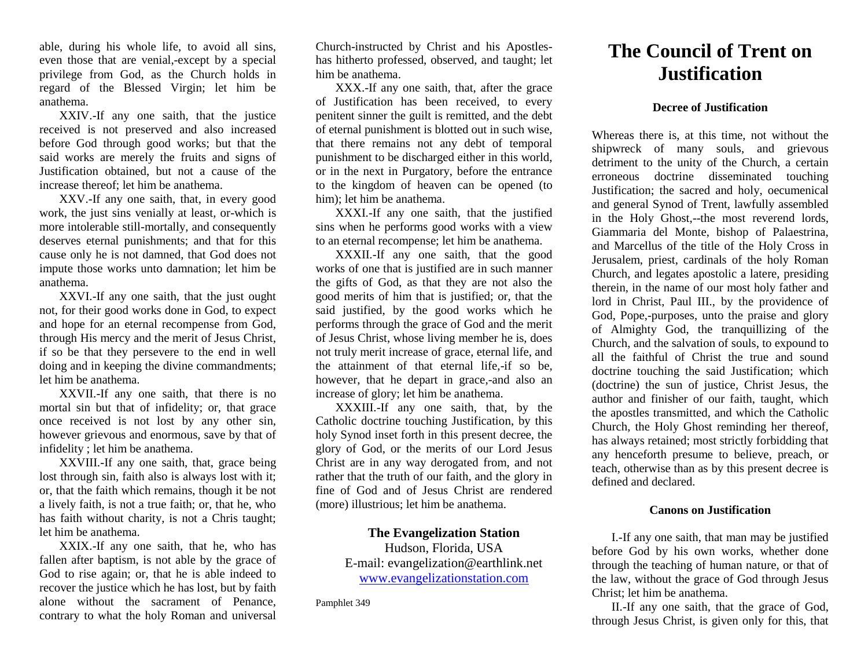able, during his whole life, to avoid all sins, even those that are venial,-except by a special privilege from God, as the Church holds in regard of the Blessed Virgin; let him be anathema.

XXIV.-If any one saith, that the justice received is not preserved and also increased before God through good works; but that the said works are merely the fruits and signs of Justification obtained, but not a cause of the increase thereof; let him be anathema.

XXV.-If any one saith, that, in every good work, the just sins venially at least, or-which is more intolerable still-mortally, and consequently deserves eternal punishments; and that for this cause only he is not damned, that God does not impute those works unto damnation; let him be anathema.

XXVI.-If any one saith, that the just ought not, for their good works done in God, to expect and hope for an eternal recompense from God, through His mercy and the merit of Jesus Christ, if so be that they persevere to the end in well doing and in keeping the divine commandments; let him be anathema.

XXVII.-If any one saith, that there is no mortal sin but that of infidelity; or, that grace once received is not lost by any other sin, however grievous and enormous, save by that of infidelity ; let him be anathema.

XXVIII.-If any one saith, that, grace being lost through sin, faith also is always lost with it; or, that the faith which remains, though it be not a lively faith, is not a true faith; or, that he, who has faith without charity, is not a Chris taught; let him be anathema.

XXIX.-If any one saith, that he, who has fallen after baptism, is not able by the grace of God to rise again; or, that he is able indeed to recover the justice which he has lost, but by faith alone without the sacrament of Penance, contrary to what the holy Roman and universal Church-instructed by Christ and his Apostleshas hitherto professed, observed, and taught; let him be anathema.

XXX.-If any one saith, that, after the grace of Justification has been received, to every penitent sinner the guilt is remitted, and the debt of eternal punishment is blotted out in such wise, that there remains not any debt of temporal punishment to be discharged either in this world, or in the next in Purgatory, before the entrance to the kingdom of heaven can be opened (to him); let him be anathema.

XXXI.-If any one saith, that the justified sins when he performs good works with a view to an eternal recompense; let him be anathema.

XXXII.-If any one saith, that the good works of one that is justified are in such manner the gifts of God, as that they are not also the good merits of him that is justified; or, that the said justified, by the good works which he performs through the grace of God and the merit of Jesus Christ, whose living member he is, does not truly merit increase of grace, eternal life, and the attainment of that eternal life,-if so be, however, that he depart in grace,-and also an increase of glory; let him be anathema.

XXXIII.-If any one saith, that, by the Catholic doctrine touching Justification, by this holy Synod inset forth in this present decree, the glory of God, or the merits of our Lord Jesus Christ are in any way derogated from, and not rather that the truth of our faith, and the glory in fine of God and of Jesus Christ are rendered (more) illustrious; let him be anathema.

> **The Evangelization Station**  Hudson, Florida, USA E-mail: evangelization@earthlink.net [www.evangelizationstation.com](http://www.pjpiisoe.org/)

Pamphlet 349

## **The Council of Trent on Justification**

## **Decree of Justification**

Whereas there is, at this time, not without the shipwreck of many souls, and grievous detriment to the unity of the Church, a certain erroneous doctrine disseminated touching Justification; the sacred and holy, oecumenical and general Synod of Trent, lawfully assembled in the Holy Ghost,--the most reverend lords, Giammaria del Monte, bishop of Palaestrina, and Marcellus of the title of the Holy Cross in Jerusalem, priest, cardinals of the holy Roman Church, and legates apostolic a latere, presiding therein, in the name of our most holy father and lord in Christ, Paul III., by the providence of God, Pope,-purposes, unto the praise and glory of Almighty God, the tranquillizing of the Church, and the salvation of souls, to expound to all the faithful of Christ the true and sound doctrine touching the said Justification; which (doctrine) the sun of justice, Christ Jesus, the author and finisher of our faith, taught, which the apostles transmitted, and which the Catholic Church, the Holy Ghost reminding her thereof, has always retained; most strictly forbidding that any henceforth presume to believe, preach, or teach, otherwise than as by this present decree is defined and declared.

## **Canons on Justification**

I.-If any one saith, that man may be justified before God by his own works, whether done through the teaching of human nature, or that of the law, without the grace of God through Jesus Christ; let him be anathema.

II.-If any one saith, that the grace of God, through Jesus Christ, is given only for this, that